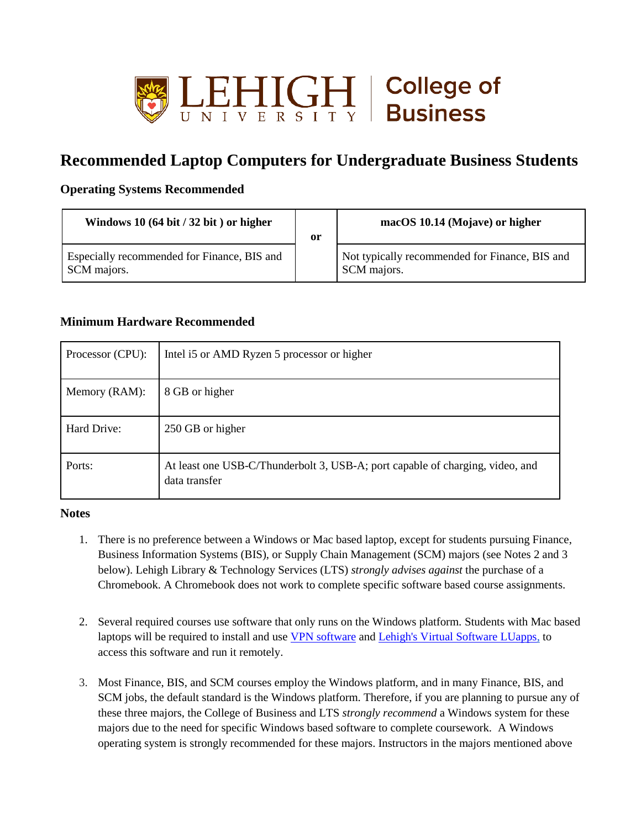

## **Recommended Laptop Computers for Undergraduate Business Students**

## **Operating Systems Recommended**

| Windows 10 $(64 \text{ bit} / 32 \text{ bit})$ or higher   | or | macOS 10.14 (Mojave) or higher                                |
|------------------------------------------------------------|----|---------------------------------------------------------------|
| Especially recommended for Finance, BIS and<br>SCM majors. |    | Not typically recommended for Finance, BIS and<br>SCM majors. |

## **Minimum Hardware Recommended**

| Processor (CPU): | Intel i5 or AMD Ryzen 5 processor or higher                                                    |
|------------------|------------------------------------------------------------------------------------------------|
| Memory (RAM):    | 8 GB or higher                                                                                 |
| Hard Drive:      | 250 GB or higher                                                                               |
| Ports:           | At least one USB-C/Thunderbolt 3, USB-A; port capable of charging, video, and<br>data transfer |

## **Notes**

- 1. There is no preference between a Windows or Mac based laptop, except for students pursuing Finance, Business Information Systems (BIS), or Supply Chain Management (SCM) majors (see Notes 2 and 3 below). Lehigh Library & Technology Services (LTS) *strongly advises against* the purchase of a Chromebook. A Chromebook does not work to complete specific software based course assignments.
- 2. Several required courses use software that only runs on the Windows platform. Students with Mac based laptops will be required to install and use [VPN software](https://lts.lehigh.edu/services/vpn) and [Lehigh's Virtual Software LUapps,](https://lts.lehigh.edu/services/virtual-software-luapps) to access this software and run it remotely.
- 3. Most Finance, BIS, and SCM courses employ the Windows platform, and in many Finance, BIS, and SCM jobs, the default standard is the Windows platform. Therefore, if you are planning to pursue any of these three majors, the College of Business and LTS *strongly recommend* a Windows system for these majors due to the need for specific Windows based software to complete coursework. A Windows operating system is strongly recommended for these majors. Instructors in the majors mentioned above